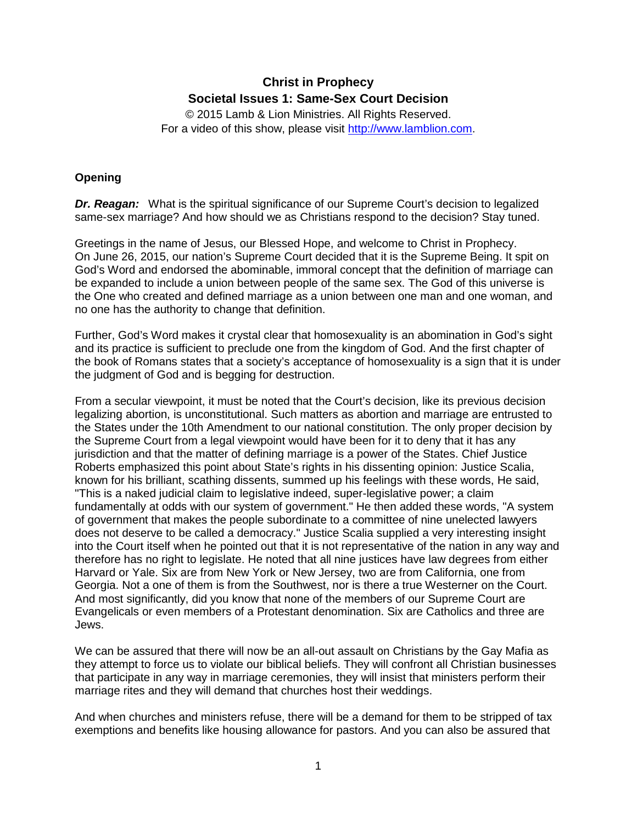# **Christ in Prophecy Societal Issues 1: Same-Sex Court Decision**

© 2015 Lamb & Lion Ministries. All Rights Reserved. For a video of this show, please visit [http://www.lamblion.com.](http://www.lamblion.com/)

# **Opening**

**Dr. Reagan:** What is the spiritual significance of our Supreme Court's decision to legalized same-sex marriage? And how should we as Christians respond to the decision? Stay tuned.

Greetings in the name of Jesus, our Blessed Hope, and welcome to Christ in Prophecy. On June 26, 2015, our nation's Supreme Court decided that it is the Supreme Being. It spit on God's Word and endorsed the abominable, immoral concept that the definition of marriage can be expanded to include a union between people of the same sex. The God of this universe is the One who created and defined marriage as a union between one man and one woman, and no one has the authority to change that definition.

Further, God's Word makes it crystal clear that homosexuality is an abomination in God's sight and its practice is sufficient to preclude one from the kingdom of God. And the first chapter of the book of Romans states that a society's acceptance of homosexuality is a sign that it is under the judgment of God and is begging for destruction.

From a secular viewpoint, it must be noted that the Court's decision, like its previous decision legalizing abortion, is unconstitutional. Such matters as abortion and marriage are entrusted to the States under the 10th Amendment to our national constitution. The only proper decision by the Supreme Court from a legal viewpoint would have been for it to deny that it has any jurisdiction and that the matter of defining marriage is a power of the States. Chief Justice Roberts emphasized this point about State's rights in his dissenting opinion: Justice Scalia, known for his brilliant, scathing dissents, summed up his feelings with these words, He said, "This is a naked judicial claim to legislative indeed, super-legislative power; a claim fundamentally at odds with our system of government." He then added these words, "A system of government that makes the people subordinate to a committee of nine unelected lawyers does not deserve to be called a democracy." Justice Scalia supplied a very interesting insight into the Court itself when he pointed out that it is not representative of the nation in any way and therefore has no right to legislate. He noted that all nine justices have law degrees from either Harvard or Yale. Six are from New York or New Jersey, two are from California, one from Georgia. Not a one of them is from the Southwest, nor is there a true Westerner on the Court. And most significantly, did you know that none of the members of our Supreme Court are Evangelicals or even members of a Protestant denomination. Six are Catholics and three are Jews.

We can be assured that there will now be an all-out assault on Christians by the Gay Mafia as they attempt to force us to violate our biblical beliefs. They will confront all Christian businesses that participate in any way in marriage ceremonies, they will insist that ministers perform their marriage rites and they will demand that churches host their weddings.

And when churches and ministers refuse, there will be a demand for them to be stripped of tax exemptions and benefits like housing allowance for pastors. And you can also be assured that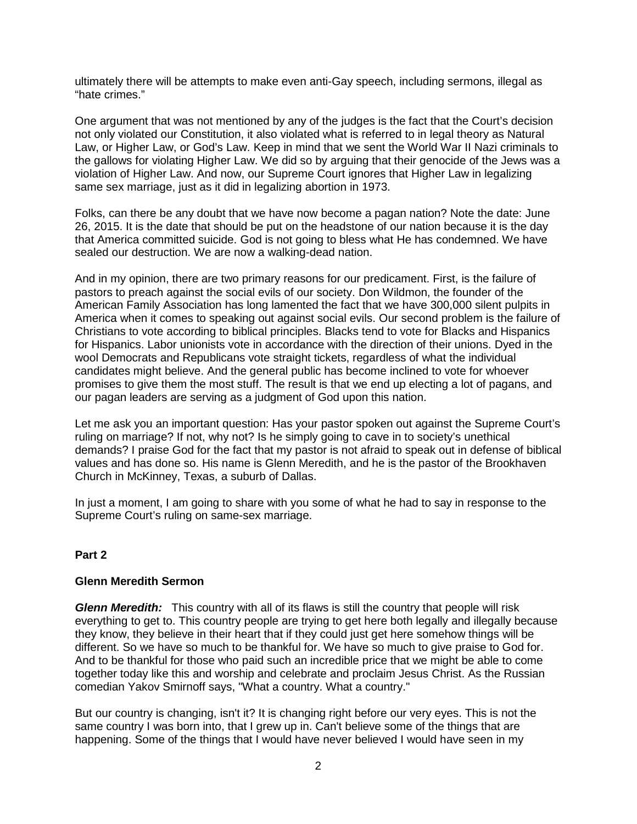ultimately there will be attempts to make even anti-Gay speech, including sermons, illegal as "hate crimes."

One argument that was not mentioned by any of the judges is the fact that the Court's decision not only violated our Constitution, it also violated what is referred to in legal theory as Natural Law, or Higher Law, or God's Law. Keep in mind that we sent the World War II Nazi criminals to the gallows for violating Higher Law. We did so by arguing that their genocide of the Jews was a violation of Higher Law. And now, our Supreme Court ignores that Higher Law in legalizing same sex marriage, just as it did in legalizing abortion in 1973.

Folks, can there be any doubt that we have now become a pagan nation? Note the date: June 26, 2015. It is the date that should be put on the headstone of our nation because it is the day that America committed suicide. God is not going to bless what He has condemned. We have sealed our destruction. We are now a walking-dead nation.

And in my opinion, there are two primary reasons for our predicament. First, is the failure of pastors to preach against the social evils of our society. Don Wildmon, the founder of the American Family Association has long lamented the fact that we have 300,000 silent pulpits in America when it comes to speaking out against social evils. Our second problem is the failure of Christians to vote according to biblical principles. Blacks tend to vote for Blacks and Hispanics for Hispanics. Labor unionists vote in accordance with the direction of their unions. Dyed in the wool Democrats and Republicans vote straight tickets, regardless of what the individual candidates might believe. And the general public has become inclined to vote for whoever promises to give them the most stuff. The result is that we end up electing a lot of pagans, and our pagan leaders are serving as a judgment of God upon this nation.

Let me ask you an important question: Has your pastor spoken out against the Supreme Court's ruling on marriage? If not, why not? Is he simply going to cave in to society's unethical demands? I praise God for the fact that my pastor is not afraid to speak out in defense of biblical values and has done so. His name is Glenn Meredith, and he is the pastor of the Brookhaven Church in McKinney, Texas, a suburb of Dallas.

In just a moment, I am going to share with you some of what he had to say in response to the Supreme Court's ruling on same-sex marriage.

## **Part 2**

#### **Glenn Meredith Sermon**

*Glenn Meredith:* This country with all of its flaws is still the country that people will risk everything to get to. This country people are trying to get here both legally and illegally because they know, they believe in their heart that if they could just get here somehow things will be different. So we have so much to be thankful for. We have so much to give praise to God for. And to be thankful for those who paid such an incredible price that we might be able to come together today like this and worship and celebrate and proclaim Jesus Christ. As the Russian comedian Yakov Smirnoff says, "What a country. What a country."

But our country is changing, isn't it? It is changing right before our very eyes. This is not the same country I was born into, that I grew up in. Can't believe some of the things that are happening. Some of the things that I would have never believed I would have seen in my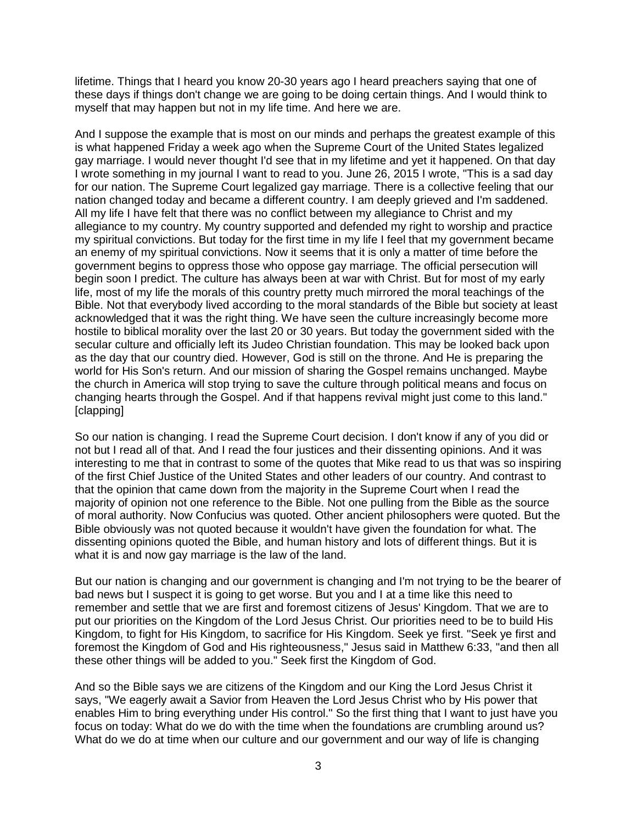lifetime. Things that I heard you know 20-30 years ago I heard preachers saying that one of these days if things don't change we are going to be doing certain things. And I would think to myself that may happen but not in my life time. And here we are.

And I suppose the example that is most on our minds and perhaps the greatest example of this is what happened Friday a week ago when the Supreme Court of the United States legalized gay marriage. I would never thought I'd see that in my lifetime and yet it happened. On that day I wrote something in my journal I want to read to you. June 26, 2015 I wrote, "This is a sad day for our nation. The Supreme Court legalized gay marriage. There is a collective feeling that our nation changed today and became a different country. I am deeply grieved and I'm saddened. All my life I have felt that there was no conflict between my allegiance to Christ and my allegiance to my country. My country supported and defended my right to worship and practice my spiritual convictions. But today for the first time in my life I feel that my government became an enemy of my spiritual convictions. Now it seems that it is only a matter of time before the government begins to oppress those who oppose gay marriage. The official persecution will begin soon I predict. The culture has always been at war with Christ. But for most of my early life, most of my life the morals of this country pretty much mirrored the moral teachings of the Bible. Not that everybody lived according to the moral standards of the Bible but society at least acknowledged that it was the right thing. We have seen the culture increasingly become more hostile to biblical morality over the last 20 or 30 years. But today the government sided with the secular culture and officially left its Judeo Christian foundation. This may be looked back upon as the day that our country died. However, God is still on the throne. And He is preparing the world for His Son's return. And our mission of sharing the Gospel remains unchanged. Maybe the church in America will stop trying to save the culture through political means and focus on changing hearts through the Gospel. And if that happens revival might just come to this land." [clapping]

So our nation is changing. I read the Supreme Court decision. I don't know if any of you did or not but I read all of that. And I read the four justices and their dissenting opinions. And it was interesting to me that in contrast to some of the quotes that Mike read to us that was so inspiring of the first Chief Justice of the United States and other leaders of our country. And contrast to that the opinion that came down from the majority in the Supreme Court when I read the majority of opinion not one reference to the Bible. Not one pulling from the Bible as the source of moral authority. Now Confucius was quoted. Other ancient philosophers were quoted. But the Bible obviously was not quoted because it wouldn't have given the foundation for what. The dissenting opinions quoted the Bible, and human history and lots of different things. But it is what it is and now gay marriage is the law of the land.

But our nation is changing and our government is changing and I'm not trying to be the bearer of bad news but I suspect it is going to get worse. But you and I at a time like this need to remember and settle that we are first and foremost citizens of Jesus' Kingdom. That we are to put our priorities on the Kingdom of the Lord Jesus Christ. Our priorities need to be to build His Kingdom, to fight for His Kingdom, to sacrifice for His Kingdom. Seek ye first. "Seek ye first and foremost the Kingdom of God and His righteousness," Jesus said in Matthew 6:33, "and then all these other things will be added to you." Seek first the Kingdom of God.

And so the Bible says we are citizens of the Kingdom and our King the Lord Jesus Christ it says, "We eagerly await a Savior from Heaven the Lord Jesus Christ who by His power that enables Him to bring everything under His control." So the first thing that I want to just have you focus on today: What do we do with the time when the foundations are crumbling around us? What do we do at time when our culture and our government and our way of life is changing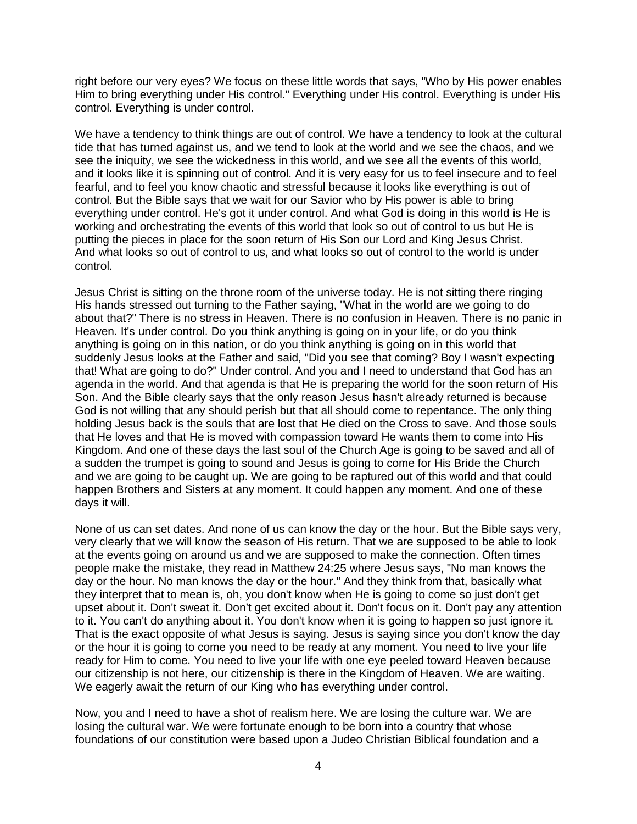right before our very eyes? We focus on these little words that says, "Who by His power enables Him to bring everything under His control." Everything under His control. Everything is under His control. Everything is under control.

We have a tendency to think things are out of control. We have a tendency to look at the cultural tide that has turned against us, and we tend to look at the world and we see the chaos, and we see the iniquity, we see the wickedness in this world, and we see all the events of this world, and it looks like it is spinning out of control. And it is very easy for us to feel insecure and to feel fearful, and to feel you know chaotic and stressful because it looks like everything is out of control. But the Bible says that we wait for our Savior who by His power is able to bring everything under control. He's got it under control. And what God is doing in this world is He is working and orchestrating the events of this world that look so out of control to us but He is putting the pieces in place for the soon return of His Son our Lord and King Jesus Christ. And what looks so out of control to us, and what looks so out of control to the world is under control.

Jesus Christ is sitting on the throne room of the universe today. He is not sitting there ringing His hands stressed out turning to the Father saying, "What in the world are we going to do about that?" There is no stress in Heaven. There is no confusion in Heaven. There is no panic in Heaven. It's under control. Do you think anything is going on in your life, or do you think anything is going on in this nation, or do you think anything is going on in this world that suddenly Jesus looks at the Father and said, "Did you see that coming? Boy I wasn't expecting that! What are going to do?" Under control. And you and I need to understand that God has an agenda in the world. And that agenda is that He is preparing the world for the soon return of His Son. And the Bible clearly says that the only reason Jesus hasn't already returned is because God is not willing that any should perish but that all should come to repentance. The only thing holding Jesus back is the souls that are lost that He died on the Cross to save. And those souls that He loves and that He is moved with compassion toward He wants them to come into His Kingdom. And one of these days the last soul of the Church Age is going to be saved and all of a sudden the trumpet is going to sound and Jesus is going to come for His Bride the Church and we are going to be caught up. We are going to be raptured out of this world and that could happen Brothers and Sisters at any moment. It could happen any moment. And one of these days it will.

None of us can set dates. And none of us can know the day or the hour. But the Bible says very, very clearly that we will know the season of His return. That we are supposed to be able to look at the events going on around us and we are supposed to make the connection. Often times people make the mistake, they read in Matthew 24:25 where Jesus says, "No man knows the day or the hour. No man knows the day or the hour." And they think from that, basically what they interpret that to mean is, oh, you don't know when He is going to come so just don't get upset about it. Don't sweat it. Don't get excited about it. Don't focus on it. Don't pay any attention to it. You can't do anything about it. You don't know when it is going to happen so just ignore it. That is the exact opposite of what Jesus is saying. Jesus is saying since you don't know the day or the hour it is going to come you need to be ready at any moment. You need to live your life ready for Him to come. You need to live your life with one eye peeled toward Heaven because our citizenship is not here, our citizenship is there in the Kingdom of Heaven. We are waiting. We eagerly await the return of our King who has everything under control.

Now, you and I need to have a shot of realism here. We are losing the culture war. We are losing the cultural war. We were fortunate enough to be born into a country that whose foundations of our constitution were based upon a Judeo Christian Biblical foundation and a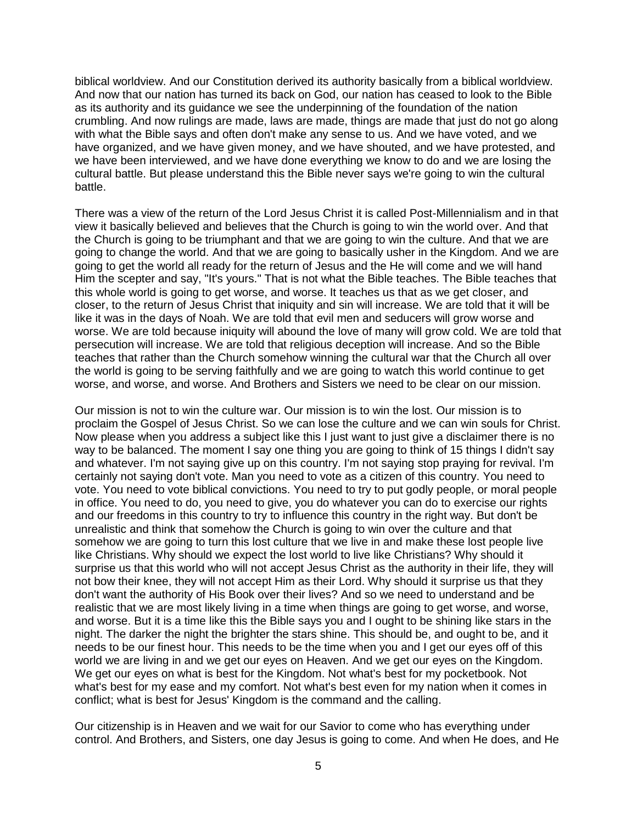biblical worldview. And our Constitution derived its authority basically from a biblical worldview. And now that our nation has turned its back on God, our nation has ceased to look to the Bible as its authority and its guidance we see the underpinning of the foundation of the nation crumbling. And now rulings are made, laws are made, things are made that just do not go along with what the Bible says and often don't make any sense to us. And we have voted, and we have organized, and we have given money, and we have shouted, and we have protested, and we have been interviewed, and we have done everything we know to do and we are losing the cultural battle. But please understand this the Bible never says we're going to win the cultural battle.

There was a view of the return of the Lord Jesus Christ it is called Post-Millennialism and in that view it basically believed and believes that the Church is going to win the world over. And that the Church is going to be triumphant and that we are going to win the culture. And that we are going to change the world. And that we are going to basically usher in the Kingdom. And we are going to get the world all ready for the return of Jesus and the He will come and we will hand Him the scepter and say, "It's yours." That is not what the Bible teaches. The Bible teaches that this whole world is going to get worse, and worse. It teaches us that as we get closer, and closer, to the return of Jesus Christ that iniquity and sin will increase. We are told that it will be like it was in the days of Noah. We are told that evil men and seducers will grow worse and worse. We are told because iniquity will abound the love of many will grow cold. We are told that persecution will increase. We are told that religious deception will increase. And so the Bible teaches that rather than the Church somehow winning the cultural war that the Church all over the world is going to be serving faithfully and we are going to watch this world continue to get worse, and worse, and worse. And Brothers and Sisters we need to be clear on our mission.

Our mission is not to win the culture war. Our mission is to win the lost. Our mission is to proclaim the Gospel of Jesus Christ. So we can lose the culture and we can win souls for Christ. Now please when you address a subject like this I just want to just give a disclaimer there is no way to be balanced. The moment I say one thing you are going to think of 15 things I didn't say and whatever. I'm not saying give up on this country. I'm not saying stop praying for revival. I'm certainly not saying don't vote. Man you need to vote as a citizen of this country. You need to vote. You need to vote biblical convictions. You need to try to put godly people, or moral people in office. You need to do, you need to give, you do whatever you can do to exercise our rights and our freedoms in this country to try to influence this country in the right way. But don't be unrealistic and think that somehow the Church is going to win over the culture and that somehow we are going to turn this lost culture that we live in and make these lost people live like Christians. Why should we expect the lost world to live like Christians? Why should it surprise us that this world who will not accept Jesus Christ as the authority in their life, they will not bow their knee, they will not accept Him as their Lord. Why should it surprise us that they don't want the authority of His Book over their lives? And so we need to understand and be realistic that we are most likely living in a time when things are going to get worse, and worse, and worse. But it is a time like this the Bible says you and I ought to be shining like stars in the night. The darker the night the brighter the stars shine. This should be, and ought to be, and it needs to be our finest hour. This needs to be the time when you and I get our eyes off of this world we are living in and we get our eyes on Heaven. And we get our eyes on the Kingdom. We get our eyes on what is best for the Kingdom. Not what's best for my pocketbook. Not what's best for my ease and my comfort. Not what's best even for my nation when it comes in conflict; what is best for Jesus' Kingdom is the command and the calling.

Our citizenship is in Heaven and we wait for our Savior to come who has everything under control. And Brothers, and Sisters, one day Jesus is going to come. And when He does, and He